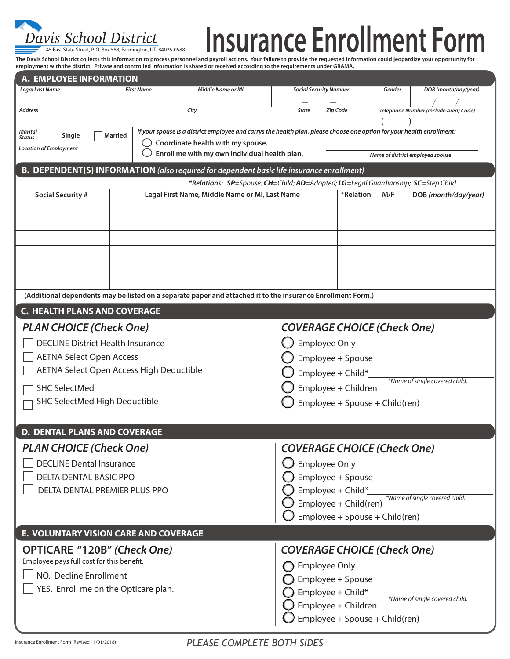

## **Insurance Enrollment Form**

The Davis School District collects this information to process personnel and payroll actions. Your failure to provide the requested information could jeopardize your opportunity for<br>employment with the district. Private an

| A. EMPLOYEE INFORMATION                                                                                                                                                                                             |                                    |                                                                                                             |                                                       |  |                                       |                                |  |  |  |
|---------------------------------------------------------------------------------------------------------------------------------------------------------------------------------------------------------------------|------------------------------------|-------------------------------------------------------------------------------------------------------------|-------------------------------------------------------|--|---------------------------------------|--------------------------------|--|--|--|
| <b>Legal Last Name</b>                                                                                                                                                                                              | <b>First Name</b>                  | <b>Middle Name or MI</b>                                                                                    | <b>Social Security Number</b>                         |  | Gender                                | DOB (month/day/year)           |  |  |  |
| <b>Address</b>                                                                                                                                                                                                      | City                               |                                                                                                             | Zip Code<br><b>State</b>                              |  | Telephone Number (Include Area) Code) |                                |  |  |  |
| If your spouse is a district employee and carrys the health plan, please choose one option for your health enrollment:<br><b>Marital</b><br><b>Married</b><br>Single<br>Status<br>Coordinate health with my spouse. |                                    |                                                                                                             |                                                       |  |                                       |                                |  |  |  |
| <b>Location of Employment</b><br>Enroll me with my own individual health plan.<br>Name of district employed spouse                                                                                                  |                                    |                                                                                                             |                                                       |  |                                       |                                |  |  |  |
| <b>B. DEPENDENT(S) INFORMATION</b> (also required for dependent basic life insurance enrollment)                                                                                                                    |                                    |                                                                                                             |                                                       |  |                                       |                                |  |  |  |
| *Relations: SP=Spouse; CH=Child; AD=Adopted; LG=Legal Guardianship; SC=Step Child                                                                                                                                   |                                    |                                                                                                             |                                                       |  |                                       |                                |  |  |  |
| <b>Social Security #</b>                                                                                                                                                                                            |                                    | Legal First Name, Middle Name or MI, Last Name                                                              |                                                       |  | M/F                                   | DOB (month/day/year)           |  |  |  |
|                                                                                                                                                                                                                     |                                    |                                                                                                             |                                                       |  |                                       |                                |  |  |  |
|                                                                                                                                                                                                                     |                                    |                                                                                                             |                                                       |  |                                       |                                |  |  |  |
|                                                                                                                                                                                                                     |                                    |                                                                                                             |                                                       |  |                                       |                                |  |  |  |
|                                                                                                                                                                                                                     |                                    |                                                                                                             |                                                       |  |                                       |                                |  |  |  |
|                                                                                                                                                                                                                     |                                    |                                                                                                             |                                                       |  |                                       |                                |  |  |  |
|                                                                                                                                                                                                                     |                                    |                                                                                                             |                                                       |  |                                       |                                |  |  |  |
|                                                                                                                                                                                                                     |                                    | (Additional dependents may be listed on a separate paper and attached it to the insurance Enrollment Form.) |                                                       |  |                                       |                                |  |  |  |
| <b>C. HEALTH PLANS AND COVERAGE</b>                                                                                                                                                                                 |                                    |                                                                                                             |                                                       |  |                                       |                                |  |  |  |
| <b>PLAN CHOICE (Check One)</b><br><b>COVERAGE CHOICE (Check One)</b>                                                                                                                                                |                                    |                                                                                                             |                                                       |  |                                       |                                |  |  |  |
| <b>DECLINE District Health Insurance</b>                                                                                                                                                                            |                                    |                                                                                                             | <b>Employee Only</b>                                  |  |                                       |                                |  |  |  |
| <b>AETNA Select Open Access</b>                                                                                                                                                                                     |                                    |                                                                                                             | Employee + Spouse                                     |  |                                       |                                |  |  |  |
| <b>AETNA Select Open Access High Deductible</b>                                                                                                                                                                     |                                    |                                                                                                             | Employee + Child*                                     |  |                                       |                                |  |  |  |
| <b>SHC SelectMed</b>                                                                                                                                                                                                |                                    |                                                                                                             | *Name of single covered child.<br>Employee + Children |  |                                       |                                |  |  |  |
| <b>SHC SelectMed High Deductible</b>                                                                                                                                                                                |                                    |                                                                                                             | Employee + Spouse + Child(ren)                        |  |                                       |                                |  |  |  |
|                                                                                                                                                                                                                     |                                    |                                                                                                             |                                                       |  |                                       |                                |  |  |  |
| <b>D. DENTAL PLANS AND COVERAGE</b>                                                                                                                                                                                 |                                    |                                                                                                             |                                                       |  |                                       |                                |  |  |  |
| <b>PLAN CHOICE (Check One)</b>                                                                                                                                                                                      |                                    |                                                                                                             | <b>COVERAGE CHOICE (Check One)</b>                    |  |                                       |                                |  |  |  |
| <b>DECLINE Dental Insurance</b>                                                                                                                                                                                     | <b>Employee Only</b>               |                                                                                                             |                                                       |  |                                       |                                |  |  |  |
| <b>DELTA DENTAL BASIC PPO</b>                                                                                                                                                                                       | Employee + Spouse                  |                                                                                                             |                                                       |  |                                       |                                |  |  |  |
| DELTA DENTAL PREMIER PLUS PPO                                                                                                                                                                                       |                                    |                                                                                                             | Employee + Child*<br>*Name of single covered child.   |  |                                       |                                |  |  |  |
|                                                                                                                                                                                                                     |                                    |                                                                                                             | Employee + Child(ren)                                 |  |                                       |                                |  |  |  |
|                                                                                                                                                                                                                     |                                    |                                                                                                             | Employee + Spouse + Child(ren)                        |  |                                       |                                |  |  |  |
| <b>E. VOLUNTARY VISION CARE AND COVERAGE</b>                                                                                                                                                                        |                                    |                                                                                                             |                                                       |  |                                       |                                |  |  |  |
| <b>OPTICARE "120B" (Check One)</b>                                                                                                                                                                                  | <b>COVERAGE CHOICE (Check One)</b> |                                                                                                             |                                                       |  |                                       |                                |  |  |  |
| Employee pays full cost for this benefit.                                                                                                                                                                           |                                    |                                                                                                             | <b>Employee Only</b>                                  |  |                                       |                                |  |  |  |
| NO. Decline Enrollment                                                                                                                                                                                              |                                    |                                                                                                             | Employee + Spouse                                     |  |                                       |                                |  |  |  |
| YES. Enroll me on the Opticare plan.                                                                                                                                                                                |                                    |                                                                                                             | Employee + Child*_                                    |  |                                       | *Name of single covered child. |  |  |  |
|                                                                                                                                                                                                                     |                                    |                                                                                                             | Employee + Children                                   |  |                                       |                                |  |  |  |
|                                                                                                                                                                                                                     |                                    |                                                                                                             | Employee + Spouse + Child(ren)                        |  |                                       |                                |  |  |  |

*PLEASE COMPLETE BOTH SIDES*